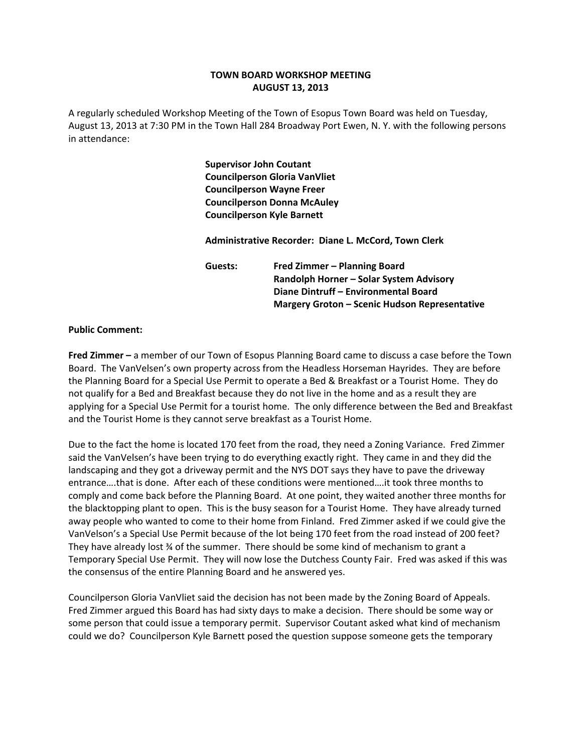## **TOWN BOARD WORKSHOP MEETING AUGUST 13, 2013**

A regularly scheduled Workshop Meeting of the Town of Esopus Town Board was held on Tuesday, August 13, 2013 at 7:30 PM in the Town Hall 284 Broadway Port Ewen, N. Y. with the following persons in attendance:

> **Supervisor John Coutant Councilperson Gloria VanVliet Councilperson Wayne Freer Councilperson Donna McAuley Councilperson Kyle Barnett**

 **Administrative Recorder: Diane L. McCord, Town Clerk**

 **Guests: Fred Zimmer – Planning Board Randolph Horner – Solar System Advisory Diane Dintruff – Environmental Board Margery Groton – Scenic Hudson Representative**

## **Public Comment:**

**Fred Zimmer –** a member of our Town of Esopus Planning Board came to discuss a case before the Town Board. The VanVelsen's own property across from the Headless Horseman Hayrides. They are before the Planning Board for a Special Use Permit to operate a Bed & Breakfast or a Tourist Home. They do not qualify for a Bed and Breakfast because they do not live in the home and as a result they are applying for a Special Use Permit for a tourist home. The only difference between the Bed and Breakfast and the Tourist Home is they cannot serve breakfast as a Tourist Home.

Due to the fact the home is located 170 feet from the road, they need a Zoning Variance. Fred Zimmer said the VanVelsen's have been trying to do everything exactly right. They came in and they did the landscaping and they got a driveway permit and the NYS DOT says they have to pave the driveway entrance….that is done. After each of these conditions were mentioned….it took three months to comply and come back before the Planning Board. At one point, they waited another three months for the blacktopping plant to open. This is the busy season for a Tourist Home. They have already turned away people who wanted to come to their home from Finland. Fred Zimmer asked if we could give the VanVelson's a Special Use Permit because of the lot being 170 feet from the road instead of 200 feet? They have already lost ¾ of the summer. There should be some kind of mechanism to grant a Temporary Special Use Permit. They will now lose the Dutchess County Fair. Fred was asked if this was the consensus of the entire Planning Board and he answered yes.

Councilperson Gloria VanVliet said the decision has not been made by the Zoning Board of Appeals. Fred Zimmer argued this Board has had sixty days to make a decision. There should be some way or some person that could issue a temporary permit. Supervisor Coutant asked what kind of mechanism could we do? Councilperson Kyle Barnett posed the question suppose someone gets the temporary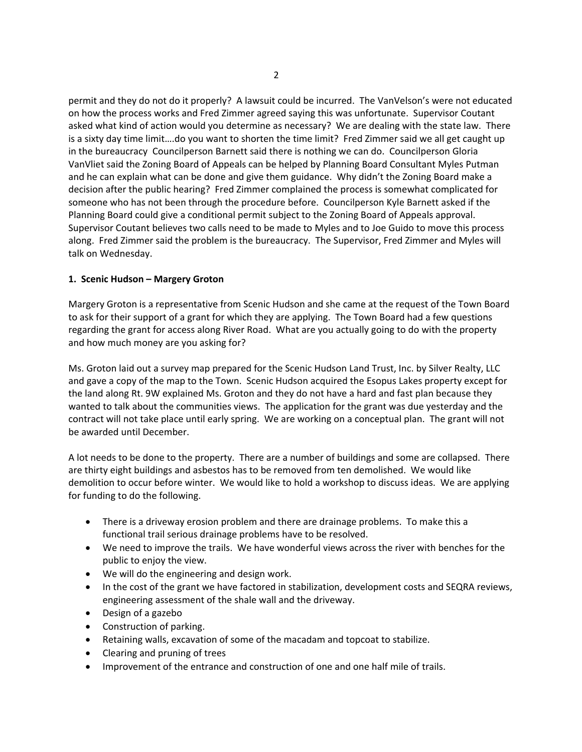permit and they do not do it properly? A lawsuit could be incurred. The VanVelson's were not educated on how the process works and Fred Zimmer agreed saying this was unfortunate. Supervisor Coutant asked what kind of action would you determine as necessary? We are dealing with the state law. There is a sixty day time limit….do you want to shorten the time limit? Fred Zimmer said we all get caught up in the bureaucracy Councilperson Barnett said there is nothing we can do. Councilperson Gloria VanVliet said the Zoning Board of Appeals can be helped by Planning Board Consultant Myles Putman and he can explain what can be done and give them guidance. Why didn't the Zoning Board make a decision after the public hearing? Fred Zimmer complained the process is somewhat complicated for someone who has not been through the procedure before. Councilperson Kyle Barnett asked if the Planning Board could give a conditional permit subject to the Zoning Board of Appeals approval. Supervisor Coutant believes two calls need to be made to Myles and to Joe Guido to move this process along. Fred Zimmer said the problem is the bureaucracy. The Supervisor, Fred Zimmer and Myles will talk on Wednesday.

## **1. Scenic Hudson – Margery Groton**

Margery Groton is a representative from Scenic Hudson and she came at the request of the Town Board to ask for their support of a grant for which they are applying. The Town Board had a few questions regarding the grant for access along River Road. What are you actually going to do with the property and how much money are you asking for?

Ms. Groton laid out a survey map prepared for the Scenic Hudson Land Trust, Inc. by Silver Realty, LLC and gave a copy of the map to the Town. Scenic Hudson acquired the Esopus Lakes property except for the land along Rt. 9W explained Ms. Groton and they do not have a hard and fast plan because they wanted to talk about the communities views. The application for the grant was due yesterday and the contract will not take place until early spring. We are working on a conceptual plan. The grant will not be awarded until December.

A lot needs to be done to the property. There are a number of buildings and some are collapsed. There are thirty eight buildings and asbestos has to be removed from ten demolished. We would like demolition to occur before winter. We would like to hold a workshop to discuss ideas. We are applying for funding to do the following.

- There is a driveway erosion problem and there are drainage problems. To make this a functional trail serious drainage problems have to be resolved.
- We need to improve the trails. We have wonderful views across the river with benches for the public to enjoy the view.
- We will do the engineering and design work.
- In the cost of the grant we have factored in stabilization, development costs and SEQRA reviews, engineering assessment of the shale wall and the driveway.
- Design of a gazebo
- Construction of parking.
- Retaining walls, excavation of some of the macadam and topcoat to stabilize.
- Clearing and pruning of trees
- Improvement of the entrance and construction of one and one half mile of trails.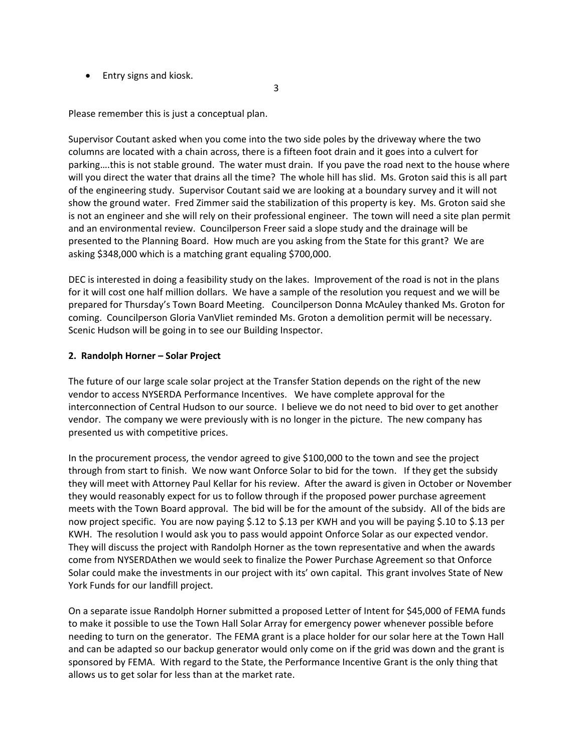• Entry signs and kiosk.

Please remember this is just a conceptual plan.

Supervisor Coutant asked when you come into the two side poles by the driveway where the two columns are located with a chain across, there is a fifteen foot drain and it goes into a culvert for parking….this is not stable ground. The water must drain. If you pave the road next to the house where will you direct the water that drains all the time? The whole hill has slid. Ms. Groton said this is all part of the engineering study. Supervisor Coutant said we are looking at a boundary survey and it will not show the ground water. Fred Zimmer said the stabilization of this property is key. Ms. Groton said she is not an engineer and she will rely on their professional engineer. The town will need a site plan permit and an environmental review. Councilperson Freer said a slope study and the drainage will be presented to the Planning Board. How much are you asking from the State for this grant? We are asking \$348,000 which is a matching grant equaling \$700,000.

3

DEC is interested in doing a feasibility study on the lakes. Improvement of the road is not in the plans for it will cost one half million dollars. We have a sample of the resolution you request and we will be prepared for Thursday's Town Board Meeting. Councilperson Donna McAuley thanked Ms. Groton for coming. Councilperson Gloria VanVliet reminded Ms. Groton a demolition permit will be necessary. Scenic Hudson will be going in to see our Building Inspector.

## **2. Randolph Horner – Solar Project**

The future of our large scale solar project at the Transfer Station depends on the right of the new vendor to access NYSERDA Performance Incentives. We have complete approval for the interconnection of Central Hudson to our source. I believe we do not need to bid over to get another vendor. The company we were previously with is no longer in the picture. The new company has presented us with competitive prices.

In the procurement process, the vendor agreed to give \$100,000 to the town and see the project through from start to finish. We now want Onforce Solar to bid for the town. If they get the subsidy they will meet with Attorney Paul Kellar for his review. After the award is given in October or November they would reasonably expect for us to follow through if the proposed power purchase agreement meets with the Town Board approval. The bid will be for the amount of the subsidy. All of the bids are now project specific. You are now paying \$.12 to \$.13 per KWH and you will be paying \$.10 to \$.13 per KWH. The resolution I would ask you to pass would appoint Onforce Solar as our expected vendor. They will discuss the project with Randolph Horner as the town representative and when the awards come from NYSERDAthen we would seek to finalize the Power Purchase Agreement so that Onforce Solar could make the investments in our project with its' own capital. This grant involves State of New York Funds for our landfill project.

On a separate issue Randolph Horner submitted a proposed Letter of Intent for \$45,000 of FEMA funds to make it possible to use the Town Hall Solar Array for emergency power whenever possible before needing to turn on the generator. The FEMA grant is a place holder for our solar here at the Town Hall and can be adapted so our backup generator would only come on if the grid was down and the grant is sponsored by FEMA. With regard to the State, the Performance Incentive Grant is the only thing that allows us to get solar for less than at the market rate.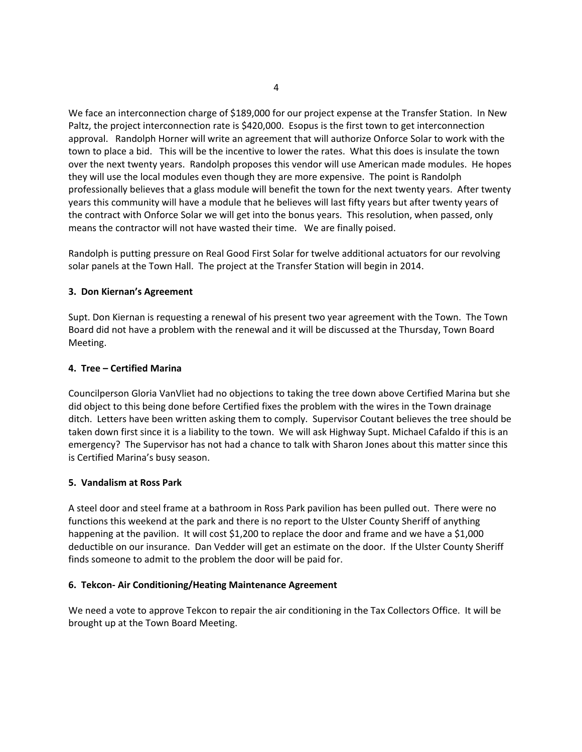We face an interconnection charge of \$189,000 for our project expense at the Transfer Station. In New Paltz, the project interconnection rate is \$420,000. Esopus is the first town to get interconnection approval. Randolph Horner will write an agreement that will authorize Onforce Solar to work with the town to place a bid. This will be the incentive to lower the rates. What this does is insulate the town over the next twenty years. Randolph proposes this vendor will use American made modules. He hopes they will use the local modules even though they are more expensive. The point is Randolph professionally believes that a glass module will benefit the town for the next twenty years. After twenty years this community will have a module that he believes will last fifty years but after twenty years of the contract with Onforce Solar we will get into the bonus years. This resolution, when passed, only means the contractor will not have wasted their time. We are finally poised.

Randolph is putting pressure on Real Good First Solar for twelve additional actuators for our revolving solar panels at the Town Hall. The project at the Transfer Station will begin in 2014.

## **3. Don Kiernan's Agreement**

Supt. Don Kiernan is requesting a renewal of his present two year agreement with the Town. The Town Board did not have a problem with the renewal and it will be discussed at the Thursday, Town Board Meeting.

## **4. Tree – Certified Marina**

Councilperson Gloria VanVliet had no objections to taking the tree down above Certified Marina but she did object to this being done before Certified fixes the problem with the wires in the Town drainage ditch. Letters have been written asking them to comply. Supervisor Coutant believes the tree should be taken down first since it is a liability to the town. We will ask Highway Supt. Michael Cafaldo if this is an emergency? The Supervisor has not had a chance to talk with Sharon Jones about this matter since this is Certified Marina's busy season.

#### **5. Vandalism at Ross Park**

A steel door and steel frame at a bathroom in Ross Park pavilion has been pulled out. There were no functions this weekend at the park and there is no report to the Ulster County Sheriff of anything happening at the pavilion. It will cost \$1,200 to replace the door and frame and we have a \$1,000 deductible on our insurance. Dan Vedder will get an estimate on the door. If the Ulster County Sheriff finds someone to admit to the problem the door will be paid for.

#### **6. Tekcon‐ Air Conditioning/Heating Maintenance Agreement**

We need a vote to approve Tekcon to repair the air conditioning in the Tax Collectors Office. It will be brought up at the Town Board Meeting.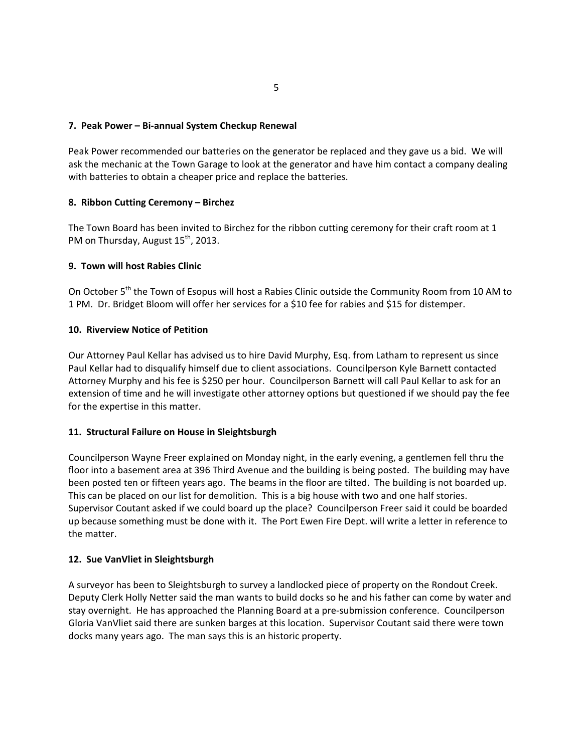## **7. Peak Power – Bi‐annual System Checkup Renewal**

Peak Power recommended our batteries on the generator be replaced and they gave us a bid. We will ask the mechanic at the Town Garage to look at the generator and have him contact a company dealing with batteries to obtain a cheaper price and replace the batteries.

## **8. Ribbon Cutting Ceremony – Birchez**

The Town Board has been invited to Birchez for the ribbon cutting ceremony for their craft room at 1 PM on Thursday, August 15<sup>th</sup>, 2013.

## **9. Town will host Rabies Clinic**

On October 5<sup>th</sup> the Town of Esopus will host a Rabies Clinic outside the Community Room from 10 AM to 1 PM. Dr. Bridget Bloom will offer her services for a \$10 fee for rabies and \$15 for distemper.

## **10. Riverview Notice of Petition**

Our Attorney Paul Kellar has advised us to hire David Murphy, Esq. from Latham to represent us since Paul Kellar had to disqualify himself due to client associations. Councilperson Kyle Barnett contacted Attorney Murphy and his fee is \$250 per hour. Councilperson Barnett will call Paul Kellar to ask for an extension of time and he will investigate other attorney options but questioned if we should pay the fee for the expertise in this matter.

#### **11. Structural Failure on House in Sleightsburgh**

Councilperson Wayne Freer explained on Monday night, in the early evening, a gentlemen fell thru the floor into a basement area at 396 Third Avenue and the building is being posted. The building may have been posted ten or fifteen years ago. The beams in the floor are tilted. The building is not boarded up. This can be placed on our list for demolition. This is a big house with two and one half stories. Supervisor Coutant asked if we could board up the place? Councilperson Freer said it could be boarded up because something must be done with it. The Port Ewen Fire Dept. will write a letter in reference to the matter.

#### **12. Sue VanVliet in Sleightsburgh**

A surveyor has been to Sleightsburgh to survey a landlocked piece of property on the Rondout Creek. Deputy Clerk Holly Netter said the man wants to build docks so he and his father can come by water and stay overnight. He has approached the Planning Board at a pre‐submission conference. Councilperson Gloria VanVliet said there are sunken barges at this location. Supervisor Coutant said there were town docks many years ago. The man says this is an historic property.